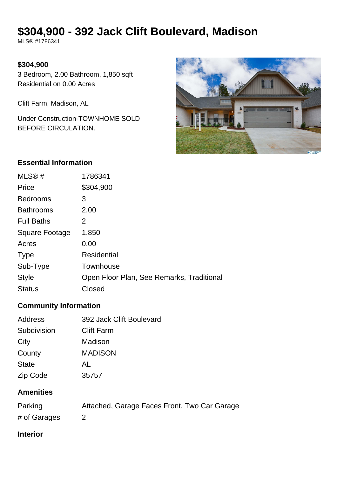# **\$304,900 - 392 Jack Clift Boulevard, Madison**

MLS® #1786341

#### **\$304,900**

3 Bedroom, 2.00 Bathroom, 1,850 sqft Residential on 0.00 Acres

Clift Farm, Madison, AL

Under Construction-TOWNHOME SOLD BEFORE CIRCULATION.



#### **Essential Information**

| MLS@#             | 1786341                                   |
|-------------------|-------------------------------------------|
| Price             | \$304,900                                 |
| <b>Bedrooms</b>   | 3                                         |
| <b>Bathrooms</b>  | 2.00                                      |
| <b>Full Baths</b> | 2                                         |
| Square Footage    | 1,850                                     |
| Acres             | 0.00                                      |
| <b>Type</b>       | <b>Residential</b>                        |
| Sub-Type          | Townhouse                                 |
| <b>Style</b>      | Open Floor Plan, See Remarks, Traditional |
| <b>Status</b>     | Closed                                    |

## **Community Information**

| Address      | 392 Jack Clift Boulevard |
|--------------|--------------------------|
| Subdivision  | <b>Clift Farm</b>        |
| City         | Madison                  |
| County       | <b>MADISON</b>           |
| <b>State</b> | AL                       |
| Zip Code     | 35757                    |

#### **Amenities**

| Parking      | Attached, Garage Faces Front, Two Car Garage |
|--------------|----------------------------------------------|
| # of Garages |                                              |

## **Interior**